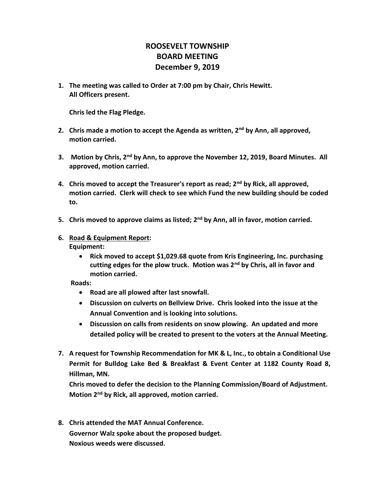## **ROOSEVELT TOWNSHIP BOARD MEETING December 9, 2019**

**1. The meeting was called to Order at 7:00 pm by Chair, Chris Hewitt. All Officers present.**

**Chris led the Flag Pledge.**

- **2. Chris made a motion to accept the Agenda as written, 2nd by Ann, all approved, motion carried.**
- **3. Motion by Chris, 2nd by Ann, to approve the November 12, 2019, Board Minutes. All approved, motion carried.**
- **4. Chris moved to accept the Treasurer's report as read; 2nd by Rick, all approved, motion carried. Clerk will check to see which Fund the new building should be coded to.**
- **5. Chris moved to approve claims as listed; 2nd by Ann, all in favor, motion carried.**
- **6. Road & Equipment Report: Equipment:**
	- **Rick moved to accept \$1,029.68 quote from Kris Engineering, Inc. purchasing cutting edges for the plow truck. Motion was 2nd by Chris, all in favor and motion carried.**

 **Roads:** 

- **Road are all plowed after last snowfall.**
- **Discussion on culverts on Bellview Drive. Chris looked into the issue at the Annual Convention and is looking into solutions.**
- **Discussion on calls from residents on snow plowing. An updated and more detailed policy will be created to present to the voters at the Annual Meeting.**
- **7. A request for Township Recommendation for MK & L, Inc., to obtain a Conditional Use Permit for Bulldog Lake Bed & Breakfast & Event Center at 1182 County Road 8, Hillman, MN.**

**Chris moved to defer the decision to the Planning Commission/Board of Adjustment. Motion 2nd by Rick, all approved, motion carried.**

**8. Chris attended the MAT Annual Conference. Governor Walz spoke about the proposed budget. Noxious weeds were discussed.**